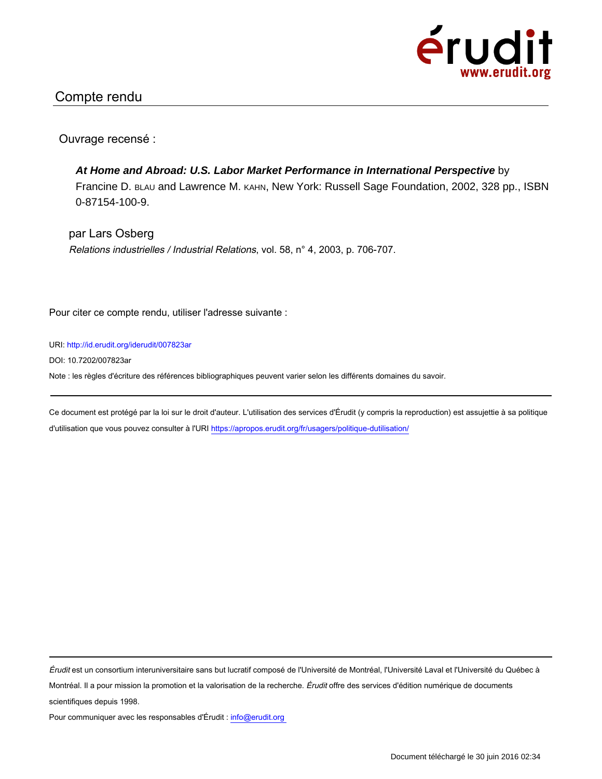

## Compte rendu

Ouvrage recensé :

**At Home and Abroad: U.S. Labor Market Performance in International Perspective** by Francine D. BLAU and Lawrence M. KAHN, New York: Russell Sage Foundation, 2002, 328 pp., ISBN 0-87154-100-9.

par Lars Osberg Relations industrielles / Industrial Relations, vol. 58, n° 4, 2003, p. 706-707.

Pour citer ce compte rendu, utiliser l'adresse suivante :

URI: http://id.erudit.org/iderudit/007823ar

DOI: 10.7202/007823ar

Note : les règles d'écriture des références bibliographiques peuvent varier selon les différents domaines du savoir.

Ce document est protégé par la loi sur le droit d'auteur. L'utilisation des services d'Érudit (y compris la reproduction) est assujettie à sa politique d'utilisation que vous pouvez consulter à l'URI https://apropos.erudit.org/fr/usagers/politique-dutilisation/

Érudit est un consortium interuniversitaire sans but lucratif composé de l'Université de Montréal, l'Université Laval et l'Université du Québec à Montréal. Il a pour mission la promotion et la valorisation de la recherche. Érudit offre des services d'édition numérique de documents scientifiques depuis 1998.

Pour communiquer avec les responsables d'Érudit : info@erudit.org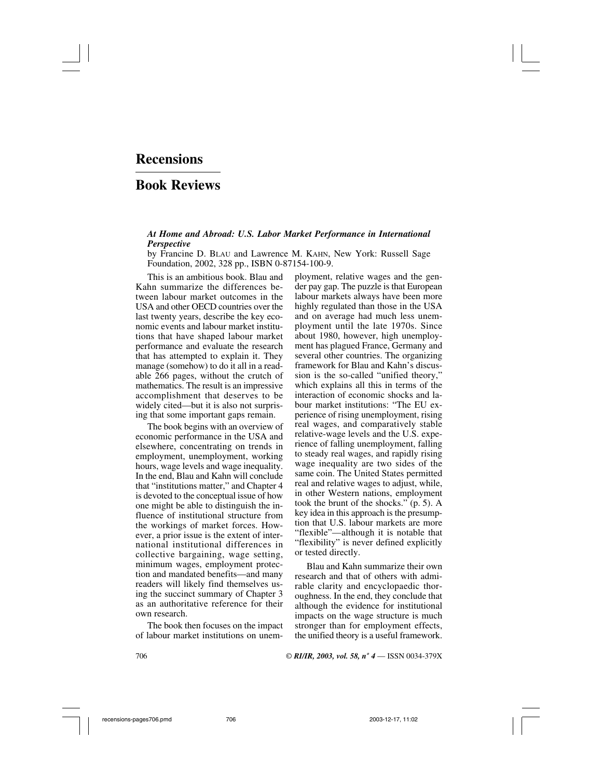## **Recensions**

## **Book Reviews**

## *At Home and Abroad: U.S. Labor Market Performance in International Perspective*

by Francine D. BLAU and Lawrence M. KAHN, New York: Russell Sage Foundation, 2002, 328 pp., ISBN 0-87154-100-9.

This is an ambitious book. Blau and Kahn summarize the differences between labour market outcomes in the USA and other OECD countries over the last twenty years, describe the key economic events and labour market institutions that have shaped labour market performance and evaluate the research that has attempted to explain it. They manage (somehow) to do it all in a readable 266 pages, without the crutch of mathematics. The result is an impressive accomplishment that deserves to be widely cited—but it is also not surprising that some important gaps remain.

The book begins with an overview of economic performance in the USA and elsewhere, concentrating on trends in employment, unemployment, working hours, wage levels and wage inequality. In the end, Blau and Kahn will conclude that "institutions matter," and Chapter 4 is devoted to the conceptual issue of how one might be able to distinguish the influence of institutional structure from the workings of market forces. However, a prior issue is the extent of international institutional differences in collective bargaining, wage setting, minimum wages, employment protection and mandated benefits—and many readers will likely find themselves using the succinct summary of Chapter 3 as an authoritative reference for their own research.

The book then focuses on the impact of labour market institutions on unem-

ployment, relative wages and the gender pay gap. The puzzle is that European labour markets always have been more highly regulated than those in the USA and on average had much less unemployment until the late 1970s. Since about 1980, however, high unemployment has plagued France, Germany and several other countries. The organizing framework for Blau and Kahn's discussion is the so-called "unified theory," which explains all this in terms of the interaction of economic shocks and labour market institutions: "The EU experience of rising unemployment, rising real wages, and comparatively stable relative-wage levels and the U.S. experience of falling unemployment, falling to steady real wages, and rapidly rising wage inequality are two sides of the same coin. The United States permitted real and relative wages to adjust, while, in other Western nations, employment took the brunt of the shocks." (p. 5). A key idea in this approach is the presumption that U.S. labour markets are more "flexible"—although it is notable that "flexibility" is never defined explicitly or tested directly.

Blau and Kahn summarize their own research and that of others with admirable clarity and encyclopaedic thoroughness. In the end, they conclude that although the evidence for institutional impacts on the wage structure is much stronger than for employment effects, the unified theory is a useful framework.